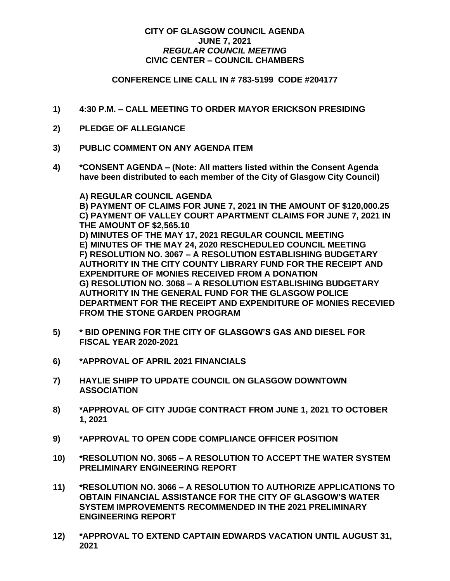## **CITY OF GLASGOW COUNCIL AGENDA JUNE 7, 2021** *REGULAR COUNCIL MEETING* **CIVIC CENTER – COUNCIL CHAMBERS**

## **CONFERENCE LINE CALL IN # 783-5199 CODE #204177**

- **1) 4:30 P.M. – CALL MEETING TO ORDER MAYOR ERICKSON PRESIDING**
- **2) PLEDGE OF ALLEGIANCE**
- **3) PUBLIC COMMENT ON ANY AGENDA ITEM**
- **4) \*CONSENT AGENDA – (Note: All matters listed within the Consent Agenda have been distributed to each member of the City of Glasgow City Council)**

**A) REGULAR COUNCIL AGENDA B) PAYMENT OF CLAIMS FOR JUNE 7, 2021 IN THE AMOUNT OF \$120,000.25 C) PAYMENT OF VALLEY COURT APARTMENT CLAIMS FOR JUNE 7, 2021 IN THE AMOUNT OF \$2,565.10 D) MINUTES OF THE MAY 17, 2021 REGULAR COUNCIL MEETING E) MINUTES OF THE MAY 24, 2020 RESCHEDULED COUNCIL MEETING F) RESOLUTION NO. 3067 – A RESOLUTION ESTABLISHING BUDGETARY AUTHORITY IN THE CITY COUNTY LIBRARY FUND FOR THE RECEIPT AND EXPENDITURE OF MONIES RECEIVED FROM A DONATION G) RESOLUTION NO. 3068 – A RESOLUTION ESTABLISHING BUDGETARY AUTHORITY IN THE GENERAL FUND FOR THE GLASGOW POLICE DEPARTMENT FOR THE RECEIPT AND EXPENDITURE OF MONIES RECEVIED FROM THE STONE GARDEN PROGRAM**

- **5) \* BID OPENING FOR THE CITY OF GLASGOW'S GAS AND DIESEL FOR FISCAL YEAR 2020-2021**
- **6) \*APPROVAL OF APRIL 2021 FINANCIALS**
- **7) HAYLIE SHIPP TO UPDATE COUNCIL ON GLASGOW DOWNTOWN ASSOCIATION**
- **8) \*APPROVAL OF CITY JUDGE CONTRACT FROM JUNE 1, 2021 TO OCTOBER 1, 2021**
- **9) \*APPROVAL TO OPEN CODE COMPLIANCE OFFICER POSITION**
- **10) \*RESOLUTION NO. 3065 – A RESOLUTION TO ACCEPT THE WATER SYSTEM PRELIMINARY ENGINEERING REPORT**
- **11) \*RESOLUTION NO. 3066 – A RESOLUTION TO AUTHORIZE APPLICATIONS TO OBTAIN FINANCIAL ASSISTANCE FOR THE CITY OF GLASGOW'S WATER SYSTEM IMPROVEMENTS RECOMMENDED IN THE 2021 PRELIMINARY ENGINEERING REPORT**
- **12) \*APPROVAL TO EXTEND CAPTAIN EDWARDS VACATION UNTIL AUGUST 31, 2021**